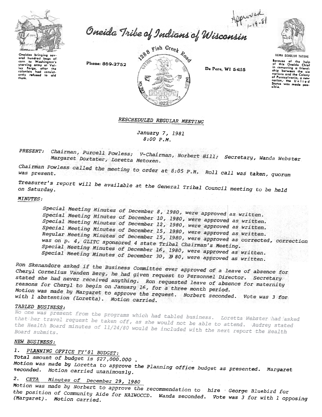

Approved<br>Oneida Tribe of Indians of Wisconsin



UGWA DEHOLUH YATEHE

Because of the help<br>of this Oneida Chief in comonting a friend. ship between the six of Pennsylvania, a new<br>nation, the United<br>States was made pos-<br>sible sible.

oneigns uninging ser-<br>aral hundred bags of starving army at Valcolonists had consist-<br>antly refused to aid

Phone: 869-2752



De Pere, WI 54115

RESCHEDULED REGULAR MEETING

January 7, 1981  $8:00 P.M.$ 

Chairman, Purcell Powless; PRESENT: V-Chairman, Norbert Hill; Secretary, Wanda Webster Margaret Doxtater, Loretta Metoxen.

Chairman Powless called the meeting to order at 8:05 P.M. Roll call was taken, quorum

Treasurer's report will be available at the General Tribal Council meeting to be held

## MINUTES:

Special Meeting Minutes of December 8, 1980, were approved as written. Special Meeting Minutes of December 10, 1980, were approved as written. Special Meeting Minutes of December 12, 1980, were approved as written. Special Meeting Minutes of December 15, 1980, were approved as written. Regular Meeting Minutes of December 15, 1980, were approved as corrected, correction was on p. 4, GLITC sponsored 4 state Tribal Chairman's Meeting. Special Meeting Minutes of December 16, 1980, were approved as written. Special Meeting Minutes of December 30, 1980, were approved as written.

Ron Skenandore asked if the Business Committee ever approved of a leave of absence for Cheryl Cornelius Vanden Berg, he had given request to Personnel Director. Secretary stated she had never received anything. Ron requested leave of absence for maternity reasons for Cheryl to begin on January 16, for a three month period. Motion was made by Margaret to approve the request. Norbert seconded. Vote was 3 for with 1 abstention (Loretta). Motion carried.

# TABLED BUSINESS:

No one was present from the programs which had tabled business. Loretta Webster had asked that her travel request be taken off, as she would not be able to attend. Audrey stated the Health Board minutes of 11/24/80 would be included with the next report the Health

# NEW BUSINESS:

### PLANNING OFFICE FY'81 BUDGET:  $1.$

Total amount of budget is \$27,000.000. Motion was made by Loretta to approve the Planning office budget as presented. Margaret seconded. Motion carried unanimously.

#### Minutes of December 29, 1980  $2.1$  $CETA$

Motion was made by Norbert to approve the recommendation to hire George Bluebird for the position of Community Aide for NAIWOCCD. Wanda seconded. Vote was 3 for with 1 opposing